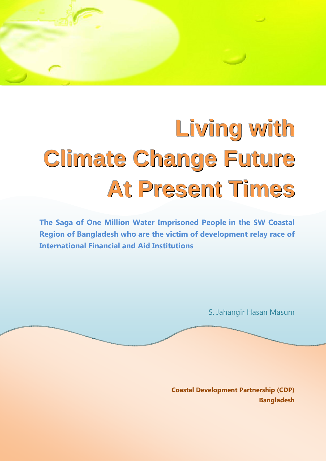# **Living with Climate Change Future At Present Times**

The Saga of One Million Water Imprisoned People in the SW Coastal Region of Bangladesh who are the victim of development relay race of International Financial and Aid Institutions

S. Jahangir Hasan Masum

Coastal Development Partnership (CDP) Bangladesh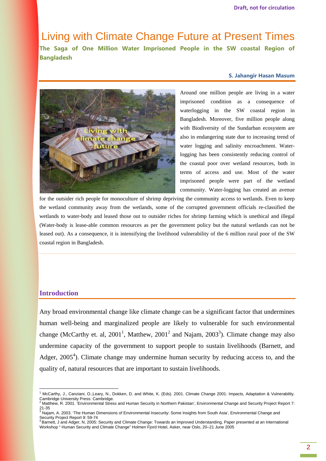Living with Climate Change Future at Present Times The Saga of One Million Water Imprisoned People in the SW coastal Region of Bangladesh

#### S. Jahangir Hasan Masum



Around one million people are living in a water imprisoned condition as a consequence of waterlogging in the SW coastal region in Bangladesh. Moreover, five million people along with Biodiversity of the Sundarban ecosystem are also in endangering state due to increasing trend of water logging and salinity encroachment. Waterlogging has been consistently reducing control of the coastal poor over wetland resources, both in terms of access and use. Most of the water imprisoned people were part of the wetland community. Water-logging has created an avenue

for the outsider rich people for monoculture of shrimp depriving the community access to wetlands. Even to keep the wetland community away from the wetlands, some of the corrupted government officials re-classified the wetlands to water-body and leased those out to outsider riches for shrimp farming which is unethical and illegal (Water-body is lease-able common resources as per the government policy but the natural wetlands can not be leased out). As a consequence, it is intensifying the livelihood vulnerability of the 6 million rural poor of the SW coastal region in Bangladesh.

#### **Introduction**

 $\overline{a}$ 

Any broad environmental change like climate change can be a significant factor that undermines human well-being and marginalized people are likely to vulnerable for such environmental change (McCarthy et. al, 2001<sup>1</sup>, Matthew, 2001<sup>2</sup> and Najam, 2003<sup>3</sup>). Climate change may also undermine capacity of the government to support people to sustain livelihoods (Barnett, and Adger,  $2005<sup>4</sup>$ ). Climate change may undermine human security by reducing access to, and the quality of, natural resources that are important to sustain livelihoods.

<sup>&</sup>lt;sup>1</sup> McCarthy, J., Canziani, O.,Leary, N., Dokken, D. and White, K. (Eds). 2001. Climate Change 2001: Impacts, Adaptation & Vulnerability. Cambridge University Press: Cambridge.<br><sup>2</sup> Matthew, R. 2001. 'Environmental Stress and Human Security in Northern Pakistan', Environmental Change and Security Project Report 7:

<sup>21-35&</sup>lt;br><sup>3</sup> Najam, A. 2003. 'The Human Dimensions of Environmental Insecurity: Some Insights from South Asia', Environmental Change and

Security Project Report 9: 59-74

<sup>4</sup>Barnett, J and Adger, N, 2005: Security and Climate Change: Towards an Improved Understanding, Paper presented at an International Workshop " Human Security and Climate Change" Holmen Fjord Hotel, Asker, near Oslo, 20–21 June 2005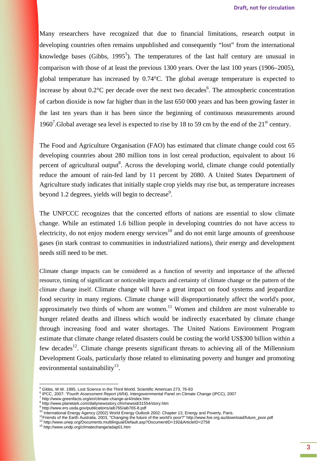Many researchers have recognized that due to financial limitations, research output in developing countries often remains unpublished and consequently "lost" from the international knowledge bases (Gibbs, 1995<sup>5</sup>). The temperatures of the last half century are unusual in comparison with those of at least the previous 1300 years. Over the last 100 years (1906–2005), global temperature has increased by 0.74°C. The global average temperature is expected to increase by about  $0.2^{\circ}$ C per decade over the next two decades<sup>6</sup>. The atmospheric concentration of carbon dioxide is now far higher than in the last 650 000 years and has been growing faster in the last ten years than it has been since the beginning of continuous measurements around 1960<sup>7</sup>. Global average sea level is expected to rise by 18 to 59 cm by the end of the  $21<sup>st</sup>$  century.

The Food and Agriculture Organisation (FAO) has estimated that climate change could cost 65 developing countries about 280 million tons in lost cereal production, equivalent to about 16 percent of agricultural output<sup>8</sup>. Across the developing world, climate change could potentially reduce the amount of rain-fed land by 11 percent by 2080. A United States Department of Agriculture study indicates that initially staple crop yields may rise but, as temperature increases beyond 1.2 degrees, yields will begin to decrease<sup>9</sup>.

The UNFCCC recognizes that the concerted efforts of nations are essential to slow climate change. While an estimated 1.6 billion people in developing countries do not have access to electricity, do not enjoy modern energy services<sup>10</sup> and do not emit large amounts of greenhouse gases (in stark contrast to communities in industrialized nations), their energy and development needs still need to be met.

Climate change impacts can be considered as a function of severity and importance of the affected resource, timing of significant or noticeable impacts and certainty of climate change or the pattern of the climate change itself. Climate change will have a great impact on food systems and jeopardize food security in many regions. Climate change will disproportionately affect the world's poor, approximately two thirds of whom are women.<sup>11</sup> Women and children are most vulnerable to hunger related deaths and illness which would be indirectly exacerbated by climate change through increasing food and water shortages. The United Nations Environment Program estimate that climate change related disasters could be costing the world US\$300 billion within a few decades<sup>12</sup>. Climate change presents significant threats to achieving all of the Millennium Development Goals, particularly those related to eliminating poverty and hunger and promoting environmental sustainability $^{13}$ .

<sup>&</sup>lt;sup>5</sup> Gibbs, W.W. 1995. Lost Science in the Third World. Scientific American 273, 76-83<br><sup>6</sup> IPCC, 2007: "*Fourth Assessment Report (AR4),* Intergovernmental Panel on Climate Change (IPCC), 2007

<sup>7</sup> http://www.greenfacts.org/en/climate-change-ar4/index.htm

<sup>&</sup>lt;sup>8</sup> http://www.planetark.com/dailynewsstory.cfm/newsid/31554/story.htm

<sup>&</sup>lt;sup>9</sup> http://www.ers.usda.gov/publications/aib765/aib765-8.pdf<br><sup>10</sup> International Energy Agency (2002) World Energy Outlook 2002: Chapter 13, Energy and Poverty, Paris.

<sup>11</sup>Friends of the Earth Australia, 2003, "Changing the future of the world's poor?" http://www.foe.org.au/download/future\_poor.pdf <sup>12</sup> http://www.unep.org/Documents.multilingual/Default.asp?DocumentID=192&ArticleID=2758

<sup>13</sup> http://www.undp.org/climatechange/adap01.htm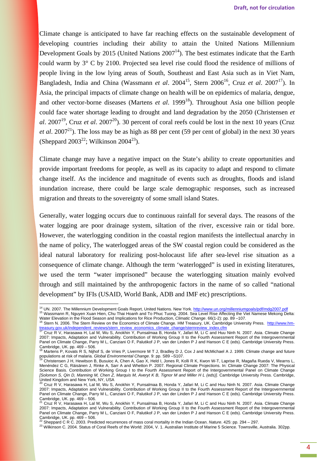Climate change is anticipated to have far reaching effects on the sustainable development of developing countries including their ability to attain the United Nations Millennium Development Goals by 2015 (United Nations  $2007<sup>14</sup>$ ). The best estimates indicate that the Earth could warm by 3° C by 2100. Projected sea level rise could flood the residence of millions of people living in the low lying areas of South, Southeast and East Asia such as in Viet Nam, Bangladesh, India and China (Wassmann *et al.* 2004<sup>15</sup>, Stern 2006<sup>16</sup>, Cruz *et al.* 2007<sup>17</sup>). In Asia, the principal impacts of climate change on health will be on epidemics of malaria, dengue, and other vector-borne diseases (Martens *et al.* 1999<sup>18</sup>). Throughout Asia one billion people could face water shortage leading to drought and land degradation by the 2050 (Christensen *et al*. 2007<sup>19</sup>. Cruz *et al.* 2007<sup>20</sup>). 30 percent of coral reefs could be lost in the next 10 years (Cruz *et al.* 2007<sup>21</sup>). The loss may be as high as 88 per cent (59 per cent of global) in the next 30 years (Sheppard 2003<sup>22</sup>; Wilkinson 2004<sup>23</sup>).

Climate change may have a negative impact on the State's ability to create opportunities and provide important freedoms for people, as well as its capacity to adapt and respond to climate change itself. As the incidence and magnitude of events such as droughts, floods and island inundation increase, there could be large scale demographic responses, such as increased migration and threats to the sovereignty of some small island States.

Generally, water logging occurs due to continuous rainfall for several days. The reasons of the water logging are poor drainage system, siltation of the river, excessive rain or tidal bore. However, the waterlogging condition in the coastal region manifests the intellectual anarchy in the name of policy, The waterlogged areas of the SW coastal region could be considered as the ideal natural laboratory for realizing post-holocaust life after sea-level rise situation as a consequence of climate change. Although the term 'waterlogged" is used in existing literatures, we used the term "water imprisoned" because the waterlogging situation mainly evolved through and still maintained by the anthropogenic factors in the name of so called "national development" by IFIs (USAID, World Bank, ADB and IMF etc) prescriptions.

<sup>&</sup>lt;sup>14</sup> UN. 2007. The Millennium Development Goals Report, United Nations. New York. http://www.un.org/millenniumgoals/pdf/mdg2007.pdf <sup>15</sup> Wassmann R, Nguyen Xuan Hien, Chu Thai Hoanh and To Phuc Tuong. 2004. Sea Level Rise Affecting the Viet Namese Mekong Delta:

Water Elevation in the Flood Season and Implications for Rice Production, *Climatic Change*. 66(1-2): pp. 89 –107.<br><sup>16</sup> Stern N. 2006. The Stern Review on the Economics of Climate Change. HM Treasury, UK. Cambridge Univers

<sup>&</sup>lt;u>treasury.gov.uk/independent\_reviews/stern\_review\_economics\_climate\_change/sternreview\_index.cfm</u><br><sup>17</sup> Cruz R V, Harasawa H, Lal M, Wu S, Anokhin Y, Punsalmaa B, Honda Y, Jafari M, Li C and Huu Ninh N. 2007. Asia. Climate 2007: Impacts, Adaptation and Vulnerability. Contribution of Working Group II to the Fourth Assessment Report of the Intergovernmental Panel on Climate Change, Parry M L, Canziani O F, Palutikof J P, van der Linden P J and Hanson C E (eds). Cambridge University Press. Cambridge, UK. pp. 469 – 506.<br><sup>18</sup> Martens P, Kovats R S, Nijhof S, de Vries P, Livermore M T J, Bradley D J, Cox J and McMichael A J. 1999. Climate change and future

populations at risk of malaria. Global Environmental Change. 9: pp. S89 –S107.

<sup>19</sup> Christensen J H, Hewitson B, Busuioc A, Chen A, Gao X, Held I, Jones R, Kolli R K, Kwon W-T, Laprise R, Magaña Rueda V, Mearns L, Menéndez C G, Räisänen J, Rinke A, Sarr A and Whetton P. 2007. Regional Climate Projections. In: Climate Change 2007: The Physical Science Basis. Contribution of Working Group I to the Fourth Assessment Report of the Intergovernmental Panel on Climate Change [Solomon S, Qin D, Manning M, Chen Z, Marquis M, Averyt K B, Tignor M and Miller H L (eds)]. Cambridge University Press. Cambridge, United Kingdom and New York, NY, USA<br><sup>20</sup> Cruz R V, Harasawa H, Lal M, Wu S, Anokhin Y, Punsalmaa B, Honda Y, Jafari M, Li C and Huu Ninh N. 2007. Asia. Climate Change

<sup>2007:</sup> Impacts, Adaptation and Vulnerability. Contribution of Working Group II to the Fourth Assessment Report of the Intergovernmental Panel on Climate Change, Parry M L, Canziani O F, Palutikof J P, van der Linden P J and Hanson C E (eds). Cambridge University Press. Cambridge, UK. pp. 469 – 506.<br><sup>21</sup> Cruz R V, Harasawa H, Lal M, Wu S, Anokhin Y, Punsalmaa B, Honda Y, Jafari M, Li C and Huu Ninh N. 2007. Asia. Climate Change

<sup>2007:</sup> Impacts, Adaptation and Vulnerability. Contribution of Working Group II to the Fourth Assessment Report of the Intergovernmental Panel on Climate Change, Parry M L, Canziani O F, Palutikof J P, van der Linden P J and Hanson C E (eds). Cambridge University Press. Cambridge, UK. pp. 469 – 506.<br><sup>22</sup> Sheppard C R C. 2003. Predicted recurrences of mass coral mortality in the Indian Ocean. *Nature*. 425: pp. 294 – 297.

<sup>23</sup> Wilkinson C. 2004. Status of Coral Reefs of the World: 2004, V. 1. Australian Institute of Marine 5 Science. Townsville, Australia. 302pp.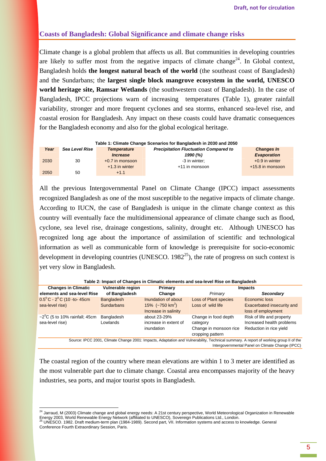### **Coasts of Bangladesh: Global Significance and climate change risks**

Climate change is a global problem that affects us all. But communities in developing countries are likely to suffer most from the negative impacts of climate change<sup>24</sup>. In Global context, Bangladesh holds **the longest natural beach of the world** (the southeast coast of Bangladesh) and the Sundarbans; the **largest single block mangrove ecosystem in the world, UNESCO world heritage site, Ramsar Wetlands** (the southwestern coast of Bangladesh). In the case of Bangladesh, IPCC projections warn of increasing temperatures (Table 1), greater rainfall variability, stronger and more frequent cyclones and sea storms, enhanced sea-level rise, and coastal erosion for Bangladesh. Any impact on these coasts could have dramatic consequences for the Bangladesh economy and also for the global ecological heritage.

| Table 1: Climate Change Scenarios for Bangladesh in 2030 and 2050 |                       |                        |                   |                    |  |
|-------------------------------------------------------------------|-----------------------|------------------------|-------------------|--------------------|--|
| Year                                                              | <b>Sea Level Rise</b> | <b>Temperature</b>     | <b>Changes In</b> |                    |  |
|                                                                   |                       | <i><b>Increase</b></i> | 1990 (%)          | <b>Evaporation</b> |  |
| 2030                                                              | 30                    | $+0.7$ in monsoon      | -3 in winter:     | $+0.9$ in winter   |  |
|                                                                   |                       | $+1.3$ in winter       | +11 in monsoon    | +15.8 in monsoon   |  |
| 2050                                                              | 50                    | $+1.1$                 |                   |                    |  |

All the previous Intergovernmental Panel on Climate Change (IPCC) impact assessments recognized Bangladesh as one of the most susceptible to the negative impacts of climate change. According to IUCN, the case of Bangladesh is unique in the climate change context as this country will eventually face the multidimensional appearance of climate change such as flood, cyclone, sea level rise, drainage congestions, salinity, drought etc. Although UNESCO has recognized long age about the importance of assimilation of scientific and technological information as well as communicable form of knowledge is prerequisite for socio-economic development in developing countries (UNESCO,  $1982^{25}$ ), the rate of progress on such context is yet very slow in Bangladesh.

| Table 2: Impact of Changes in Climatic elements and sea-level Rise on Bangladesh                                                      |                   |                           |                              |                                   |
|---------------------------------------------------------------------------------------------------------------------------------------|-------------------|---------------------------|------------------------------|-----------------------------------|
| <b>Changes in Climatic</b>                                                                                                            | Vulnerable region | Primary                   |                              | <b>Impacts</b>                    |
| elements and sea-level Rise                                                                                                           | of Bangladesh     | Change                    | Primary                      | Secondary                         |
| $0.5^{\circ}$ C - $2^{\circ}$ C (10 -to-45cm                                                                                          | <b>Bangladesh</b> | Inundation of about       | <b>Loss of Plant species</b> | Economic loss                     |
| sea-level rise)                                                                                                                       | <b>Sundarbans</b> | 15% $(-750 \text{ km}^2)$ | Loss of wild life            | <b>Exacerbated insecurity and</b> |
|                                                                                                                                       |                   | Increase in salinity      |                              | loss of employment                |
| $\sim$ 2 <sup>0</sup> C (5 to 10% rainfall; 45cm                                                                                      | Bangladesh        | about 23-29%              | Change in food depth         | Risk of life and property         |
| sea-level rise)                                                                                                                       | Lowlands          | increase in extent of     | category                     | Increased health problems         |
|                                                                                                                                       |                   | inundation                | Change in monsoon rice       | Reduction in rice yield           |
|                                                                                                                                       |                   |                           | cropping pattern             |                                   |
| Source: IPCC 2001, Climate Change 2001: Impacts, Adaptation and Vulnerability, Technical summary. A report of working group II of the |                   |                           |                              |                                   |
| Intergovernmental Panel on Climate Change (IPCC)                                                                                      |                   |                           |                              |                                   |

**Table 2: Impact of Changes in Climatic elements and sea-level Rise on Bangladesh** 

The coastal region of the country where mean elevations are within 1 to 3 meter are identified as the most vulnerable part due to climate change. Coastal area encompasses majority of the heavy industries, sea ports, and major tourist spots in Bangladesh.

<sup>&</sup>lt;sup>24</sup> Jarraud, M (2003) Climate change and global energy needs: A 21st century perspective, World Meteorological Organization in Renewable Energy 2003, World Renewable Energy Network (affiliated to UNESCO), Sovereign Publications Ltd., London.<br><sup>25</sup> UNESCO. 1982. Draft medium-term plan (1984-1989). Second part, VII. Information systems and access to knowledge.

Conference Fourth Extraordinary Session, Paris.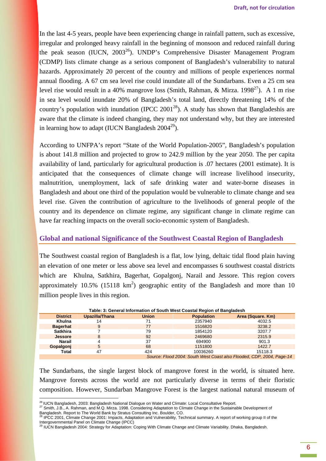In the last 4-5 years, people have been experiencing change in rainfall pattern, such as excessive, irregular and prolonged heavy rainfall in the beginning of monsoon and reduced rainfall during the peak season (IUCN,  $2003^{26}$ ). UNDP's Comprehensive Disaster Management Program (CDMP) lists climate change as a serious component of Bangladesh's vulnerability to natural hazards. Approximately 20 percent of the country and millions of people experiences normal annual flooding. A 67 cm sea level rise could inundate all of the Sundarbans. Even a 25 cm sea level rise would result in a 40% mangrove loss (Smith, Rahman, & Mirza, 1998<sup>27</sup>). A 1 m rise in sea level would inundate 20% of Bangladesh's total land, directly threatening 14% of the country's population with inundation (IPCC 2001<sup>28</sup>). A study has shown that Bangladeshis are aware that the climate is indeed changing, they may not understand why, but they are interested in learning how to adapt (IUCN Bangladesh  $2004^{29}$ ).

According to UNFPA's report "State of the World Population-2005", Bangladesh's population is about 141.8 million and projected to grow to 242.9 million by the year 2050. The per capita availability of land, particularly for agricultural production is .07 hectares (2001 estimate). It is anticipated that the consequences of climate change will increase livelihood insecurity, malnutrition, unemployment, lack of safe drinking water and water-borne diseases in Bangladesh and about one third of the population would be vulnerable to climate change and sea level rise. Given the contribution of agriculture to the livelihoods of general people of the country and its dependence on climate regime, any significant change in climate regime can have far reaching impacts on the overall socio-economic system of Bangladesh.

#### **Global and national Significance of the Southwest Coastal Region of Bangladesh**

The Southwest coastal region of Bangladesh is a flat, low lying, deltaic tidal flood plain having an elevation of one meter or less above sea level and encompasses 6 southwest coastal districts which are Khulna, Satkhira, Bagerhat, Gopalgonj, Narail and Jessore. This region covers approximately 10.5% (15118  $km^2$ ) geographic entity of the Bangladesh and more than 10 million people lives in this region.

| Table: 3: General Information of South West Coastal Region of Bangladesh       |                |              |                   |                   |  |
|--------------------------------------------------------------------------------|----------------|--------------|-------------------|-------------------|--|
| <b>District</b>                                                                | Upazilla/Thana | <b>Union</b> | <b>Population</b> | Area (Square. Km) |  |
| Khulna                                                                         | 14             | 71           | 2357940           | 4032.5            |  |
| <b>Bagerhat</b>                                                                | 9              | 77           | 1516820           | 3238.2            |  |
| <b>Satkhira</b>                                                                |                | 79           | 1854120           | 3207.7            |  |
| <b>Jessore</b>                                                                 | 8              | 92           | 2469680           | 2315.9            |  |
| Narail                                                                         |                | 37           | 694900            | 901.3             |  |
| Gopalgonj                                                                      | 5              | 68           | 1151800           | 1422.7            |  |
| Total                                                                          | 47             | 424          | 10036260          | 15118.3           |  |
| $\sim$<br>$\sim$ $\sim$ $\sim$ $\sim$ $\sim$ $\sim$ $\sim$ $\sim$<br>$- \cdot$ |                |              |                   |                   |  |

Source: Flood 2004: South West Coast also Flooded, CDP, 2004, Page-14

The Sundarbans, the single largest block of mangrove forest in the world, is situated here. Mangrove forests across the world are not particularly diverse in terms of their floristic composition. However, Sundarban Mangrove Forest is the largest national natural museum of

<sup>&</sup>lt;sup>26</sup> IUCN Bangladesh, 2003: Bangladesh National Dialogue on Water and Climate: Local Consultative Report.

<sup>27</sup> Smith, J.B., A. Rahman, and M.Q. Mirza. 1998. Considering Adaptation to Climate Change in the Sustainable Development of

Bangladesh. Report to The World Bank by Stratus Consulting Inc. Boulder, CO.<br><sup>28</sup> IPCC 2001, Climate Change 2001: Impacts, Adaptation and Vulnerability, Technical summary. A report of working group II of the

Intergovernmental Panel on Climate Change (IPCC)<br><sup>29</sup> IUCN Bangladesh 2004: Strategy for Adaptation: Coping With Climate Change and Climate Variability. Dhaka, Bangladesh.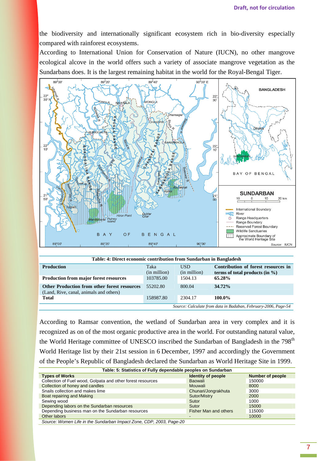the biodiversity and internationally significant ecosystem rich in bio-diversity especially compared with rainforest ecosystems.

According to International Union for Conservation of Nature (IUCN), no other mangrove ecological alcove in the world offers such a variety of associate mangrove vegetation as the Sundarbans does. It is the largest remaining habitat in the world for the Royal-Bengal Tiger.



| Table: 4: Direct economic contribution from Sundarban in Bangladesh                            |                      |                            |                                                                           |  |
|------------------------------------------------------------------------------------------------|----------------------|----------------------------|---------------------------------------------------------------------------|--|
| <b>Production</b>                                                                              | Taka<br>(in million) | <b>USD</b><br>(in million) | Contribution of forest resources in<br>terms of total products (in $\%$ ) |  |
| <b>Production from major forest resources</b>                                                  | 103785.00            | 1504.13                    | 65.28%                                                                    |  |
| <b>Other Production from other forest resources</b><br>(Land, Rive, canal, animals and others) | 55202.80             | 800.04                     | 34.72%                                                                    |  |
| <b>Total</b>                                                                                   | 158987.80            | 2304.17                    | 100.0%                                                                    |  |
| Source: Calculate from data in Badaban, February-2006, Page-54                                 |                      |                            |                                                                           |  |

According to Ramsar convention, the wetland of Sundarban area in very complex and it is recognized as on of the most organic productive area in the world. For outstanding natural value, the World Heritage committee of UNESCO inscribed the Sundarban of Bangladesh in the 798<sup>th</sup> World Heritage list by their 21st session in 6 December, 1997 and accordingly the Government of the People's Republic of Bangladesh declared the Sundarban as World Heritage Site in 1999.

| Table: 5: Statistics of Fully dependable peoples on Sundarban       |                              |                         |  |
|---------------------------------------------------------------------|------------------------------|-------------------------|--|
| <b>Types of Works</b>                                               | <b>Identity of people</b>    | <b>Number of people</b> |  |
| Collection of Fuel wood, Golpata and other forest resources         | <b>Baowali</b>               | 150000                  |  |
| Collection of honey and candles                                     | Mouwali                      | 8000                    |  |
| Snails collection and makes lime                                    | Chunari/Jongrakhuta          | 3000                    |  |
| Boat repairing and Making                                           | Sutor/Mistry                 | 2000                    |  |
| Sewing wood                                                         | Sutor                        | 1000                    |  |
| Depending labors on the Sundarban resources                         | Sutor                        | 15000                   |  |
| Depending business man on the Sundarban resources                   | <b>Fisher Man and others</b> | 115000                  |  |
| Other labors                                                        |                              | 10000                   |  |
| Source: Women Life in the Sundarban Impact Zone, CDP, 2003, Page-20 |                              |                         |  |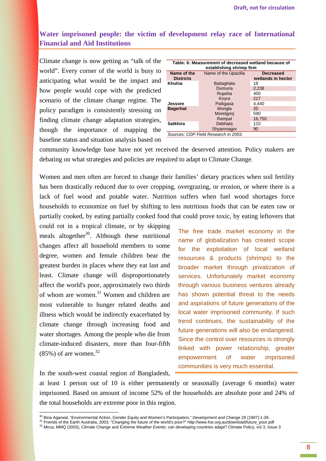## **Water imprisoned people: the victim of development relay race of International Financial and Aid Institutions**

Climate change is now getting as "talk of the world". Every corner of the world is busy to anticipating what would be the impact and how people would cope with the predicted scenario of the climate change regime. The policy paradigm is consistently stressing on finding climate change adaptation strategies, though the importance of mapping the baseline status and situation analysis based on

| Table: 6: Measurement of decreased wetland because of<br>establishing shrimp firm |                      |                                        |  |  |
|-----------------------------------------------------------------------------------|----------------------|----------------------------------------|--|--|
| Name of the<br><b>Districts</b>                                                   | Name of the Upazilla | <b>Decreased</b><br>wetlands in hector |  |  |
| Khulna                                                                            | <b>Batiaghata</b>    | 18                                     |  |  |
|                                                                                   | Dumuria              | 2,238                                  |  |  |
|                                                                                   | Rupsha               | 400                                    |  |  |
|                                                                                   | Kovra                | 217                                    |  |  |
| Jessore                                                                           | Paikgasa             | 4,440                                  |  |  |
| <b>Bagerhat</b>                                                                   | Mongla               | 20                                     |  |  |
|                                                                                   | Morelgonj            | 590                                    |  |  |
|                                                                                   | Rampal               | 16.750                                 |  |  |
| <b>Satkhira</b>                                                                   | Debhata              | 110                                    |  |  |
|                                                                                   | Shyamnagor           | 90                                     |  |  |
| Sources: CDP Field Research in 2003.                                              |                      |                                        |  |  |

community knowledge base have not yet received the deserved attention. Policy makers are debating on what strategies and policies are required to adapt to Climate Change.

Women and men often are forced to change their families' dietary practices when soil fertility has been drastically reduced due to over cropping, overgrazing, or erosion, or where there is a lack of fuel wood and potable water. Nutrition suffers when fuel wood shortages force households to economize on fuel by shifting to less nutritious foods that can be eaten raw or partially cooked, by eating partially cooked food that could prove toxic, by eating leftovers that

could rot in a tropical climate, or by skipping meals altogether $30$ . Although these nutritional changes affect all household members to some degree, women and female children bear the greatest burden in places where they eat last and least. Climate change will disproportionately affect the world's poor, approximately two thirds of whom are women. $31$  Women and children are most vulnerable to hunger related deaths and illness which would be indirectly exacerbated by climate change through increasing food and water shortages. Among the people who die from climate-induced disasters, more than four-fifth  $(85\%)$  of are women.<sup>32</sup>

The free trade market economy in the name of globalization has created scope for the exploitation of local wetland resources & products (shrimps) to the broader market through privatization of services. Unfortunately market economy through various business ventures already has shown potential threat to the needs and aspirations of future generations of the local water imprisoned community. If such trend continues, the sustainability of the future generations will also be endangered. Since the control over resources is strongly linked with power relationship, greater empowerment of water imprisoned communities is very much essential.

In the south-west coastal region of Bangladesh,

 $\overline{a}$ 

at least 1 person out of 10 is either permanently or seasonally (average 6 months) water imprisoned. Based on amount of income 52% of the households are absolute poor and 24% of the total households are extreme poor in this region.

<sup>&</sup>lt;sup>30</sup> Bina Agarwal, "Environmental Action, Gender Equity and Women's Participation," Development and Change 28 (1997):1-39.

<sup>31</sup> Friends of the Earth Australia, 2003, "Changing the future of the world's poor?" http://www.foe.org.au/download/future\_poor.pdf

<sup>32</sup> Mirza, MMQ (2003), Climate Change and Extreme Weather Events: can developing countries adapt? Climate Policy, vol 3, Issue 3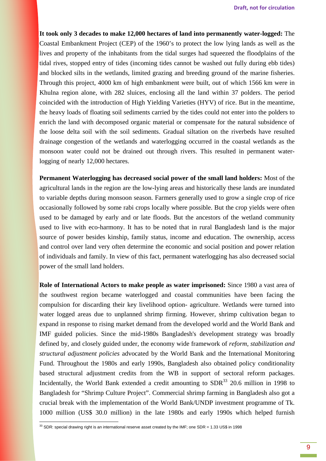**It took only 3 decades to make 12,000 hectares of land into permanently water-logged:** The Coastal Embankment Project (CEP) of the 1960's to protect the low lying lands as well as the lives and property of the inhabitants from the tidal surges had squeezed the floodplains of the tidal rives, stopped entry of tides (incoming tides cannot be washed out fully during ebb tides) and blocked silts in the wetlands, limited grazing and breeding ground of the marine fisheries. Through this project, 4000 km of high embankment were built, out of which 1566 km were in Khulna region alone, with 282 sluices, enclosing all the land within 37 polders. The period coincided with the introduction of High Yielding Varieties (HYV) of rice. But in the meantime, the heavy loads of floating soil sediments carried by the tides could not enter into the polders to enrich the land with decomposed organic material or compensate for the natural subsidence of the loose delta soil with the soil sediments. Gradual siltation on the riverbeds have resulted drainage congestion of the wetlands and waterlogging occurred in the coastal wetlands as the monsoon water could not be drained out through rivers. This resulted in permanent waterlogging of nearly 12,000 hectares.

**Permanent Waterlogging has decreased social power of the small land holders:** Most of the agricultural lands in the region are the low-lying areas and historically these lands are inundated to variable depths during monsoon season. Farmers generally used to grow a single crop of rice occasionally followed by some rabi crops locally where possible. But the crop yields were often used to be damaged by early and or late floods. But the ancestors of the wetland community used to live with eco-harmony. It has to be noted that in rural Bangladesh land is the major source of power besides kinship, family status, income and education. The ownership, access and control over land very often determine the economic and social position and power relation of individuals and family. In view of this fact, permanent waterlogging has also decreased social power of the small land holders.

**Role of International Actors to make people as water imprisoned:** Since 1980 a vast area of the southwest region became waterlogged and coastal communities have been facing the compulsion for discarding their key livelihood option- agriculture. Wetlands were turned into water logged areas due to unplanned shrimp firming. However, shrimp cultivation began to expand in response to rising market demand from the developed world and the World Bank and IMF guided policies. Since the mid-1980s Bangladesh's development strategy was broadly defined by, and closely guided under, the economy wide framework of *reform, stabilization and structural adjustment policies* advocated by the World Bank and the International Monitoring Fund. Throughout the 1980s and early 1990s, Bangladesh also obtained policy conditionality based structural adjustment credits from the WB in support of sectoral reform packages. Incidentally, the World Bank extended a credit amounting to  $SDR<sup>33</sup>$  20.6 million in 1998 to Bangladesh for "Shrimp Culture Project". Commercial shrimp farming in Bangladesh also got a crucial break with the implementation of the World Bank/UNDP investment programme of Tk. 1000 million (US\$ 30.0 million) in the late 1980s and early 1990s which helped furnish

<sup>33</sup> SDR: special drawing right is an international reserve asset created by the IMF; one SDR = 1.33 US\$ in 1998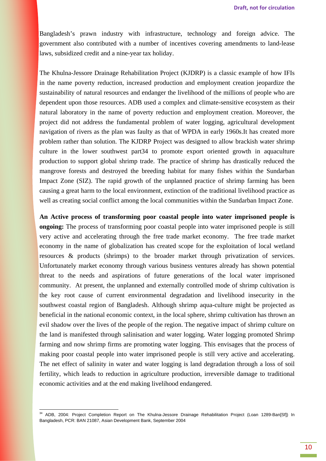Bangladesh's prawn industry with infrastructure, technology and foreign advice. The government also contributed with a number of incentives covering amendments to land-lease laws, subsidized credit and a nine-year tax holiday.

The Khulna-Jessore Drainage Rehabilitation Project (KJDRP) is a classic example of how IFIs in the name poverty reduction, increased production and employment creation jeopardize the sustainability of natural resources and endanger the livelihood of the millions of people who are dependent upon those resources. ADB used a complex and climate-sensitive ecosystem as their natural laboratory in the name of poverty reduction and employment creation. Moreover, the project did not address the fundamental problem of water logging, agricultural development navigation of rivers as the plan was faulty as that of WPDA in early 1960s.It has created more problem rather than solution. The KJDRP Project was designed to allow brackish water shrimp culture in the lower southwest part34 to promote export oriented growth in aquaculture production to support global shrimp trade. The practice of shrimp has drastically reduced the mangrove forests and destroyed the breeding habitat for many fishes within the Sundarban Impact Zone (SIZ). The rapid growth of the unplanned practice of shrimp farming has been causing a great harm to the local environment, extinction of the traditional livelihood practice as well as creating social conflict among the local communities within the Sundarban Impact Zone.

**An Active process of transforming poor coastal people into water imprisoned people is ongoing:** The process of transforming poor coastal people into water imprisoned people is still very active and accelerating through the free trade market economy. The free trade market economy in the name of globalization has created scope for the exploitation of local wetland resources & products (shrimps) to the broader market through privatization of services. Unfortunately market economy through various business ventures already has shown potential threat to the needs and aspirations of future generations of the local water imprisoned community. At present, the unplanned and externally controlled mode of shrimp cultivation is the key root cause of current environmental degradation and livelihood insecurity in the southwest coastal region of Bangladesh. Although shrimp aqua-culture might be projected as beneficial in the national economic context, in the local sphere, shrimp cultivation has thrown an evil shadow over the lives of the people of the region. The negative impact of shrimp culture on the land is manifested through salinisation and water logging. Water logging promoted Shrimp farming and now shrimp firms are promoting water logging. This envisages that the process of making poor coastal people into water imprisoned people is still very active and accelerating. The net effect of salinity in water and water logging is land degradation through a loss of soil fertility, which leads to reduction in agriculture production, irreversible damage to traditional economic activities and at the end making livelihood endangered.

<sup>&</sup>lt;sup>34</sup> ADB, 2004: Project Completion Report on The Khulna-Jessore Drainage Rehabilitation Project (Loan 1289-Ban[Sf]) In Bangladesh, PCR: BAN 21087, Asian Development Bank, September 2004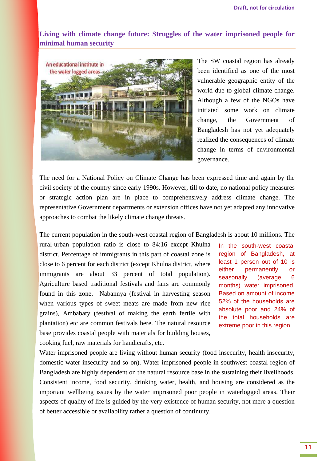**Living with climate change future: Struggles of the water imprisoned people for minimal human security** 



The SW coastal region has already been identified as one of the most vulnerable geographic entity of the world due to global climate change. Although a few of the NGOs have initiated some work on climate change, the Government of Bangladesh has not yet adequately realized the consequences of climate change in terms of environmental governance.

The need for a National Policy on Climate Change has been expressed time and again by the civil society of the country since early 1990s. However, till to date, no national policy measures or strategic action plan are in place to comprehensively address climate change. The representative Government departments or extension offices have not yet adapted any innovative approaches to combat the likely climate change threats.

The current population in the south-west coastal region of Bangladesh is about 10 millions. The

rural-urban population ratio is close to 84:16 except Khulna district. Percentage of immigrants in this part of coastal zone is close to 6 percent for each district (except Khulna district, where immigrants are about 33 percent of total population). Agriculture based traditional festivals and fairs are commonly found in this zone. Nabannya (festival in harvesting season when various types of sweet meats are made from new rice grains), Ambabaty (festival of making the earth fertile with plantation) etc are common festivals here. The natural resource base provides coastal people with materials for building houses, cooking fuel, raw materials for handicrafts, etc.

In the south-west coastal region of Bangladesh, at least 1 person out of 10 is either permanently or seasonally (average 6 months) water imprisoned. Based on amount of income 52% of the households are absolute poor and 24% of the total households are extreme poor in this region.

Water imprisoned people are living without human security (food insecurity, health insecurity, domestic water insecurity and so on). Water imprisoned people in southwest coastal region of Bangladesh are highly dependent on the natural resource base in the sustaining their livelihoods. Consistent income, food security, drinking water, health, and housing are considered as the important wellbeing issues by the water imprisoned poor people in waterlogged areas. Their aspects of quality of life is guided by the very existence of human security, not mere a question of better accessible or availability rather a question of continuity.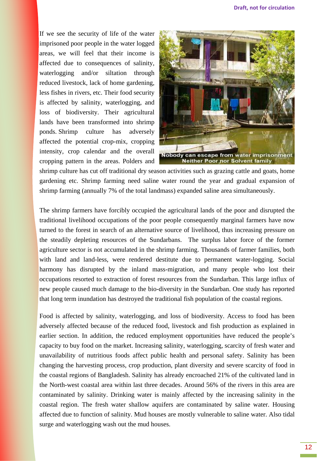If we see the security of life of the water imprisoned poor people in the water logged areas, we will feel that their income is affected due to consequences of salinity, waterlogging and/or siltation through reduced livestock, lack of home gardening, less fishes in rivers, etc. Their food security is affected by salinity, waterlogging, and loss of biodiversity. Their agricultural lands have been transformed into shrimp ponds. Shrimp culture has adversely affected the potential crop-mix, cropping intensity, crop calendar and the overall cropping pattern in the areas. Polders and



shrimp culture has cut off traditional dry season activities such as grazing cattle and goats, home gardening etc. Shrimp farming need saline water round the year and gradual expansion of shrimp farming (annually 7% of the total landmass) expanded saline area simultaneously.

The shrimp farmers have forcibly occupied the agricultural lands of the poor and disrupted the traditional livelihood occupations of the poor people consequently marginal farmers have now turned to the forest in search of an alternative source of livelihood, thus increasing pressure on the steadily depleting resources of the Sundarbans. The surplus labor force of the former agriculture sector is not accumulated in the shrimp farming. Thousands of farmer families, both with land and land-less, were rendered destitute due to permanent water-logging. Social harmony has disrupted by the inland mass-migration, and many people who lost their occupations resorted to extraction of forest resources from the Sundarban. This large influx of new people caused much damage to the bio-diversity in the Sundarban. One study has reported that long term inundation has destroyed the traditional fish population of the coastal regions.

Food is affected by salinity, waterlogging, and loss of biodiversity. Access to food has been adversely affected because of the reduced food, livestock and fish production as explained in earlier section. In addition, the reduced employment opportunities have reduced the people's capacity to buy food on the market. Increasing salinity, waterlogging, scarcity of fresh water and unavailability of nutritious foods affect public health and personal safety. Salinity has been changing the harvesting process, crop production, plant diversity and severe scarcity of food in the coastal regions of Bangladesh. Salinity has already encroached 21% of the cultivated land in the North-west coastal area within last three decades. Around 56% of the rivers in this area are contaminated by salinity. Drinking water is mainly affected by the increasing salinity in the coastal region. The fresh water shallow aquifers are contaminated by saline water. Housing affected due to function of salinity. Mud houses are mostly vulnerable to saline water. Also tidal surge and waterlogging wash out the mud houses.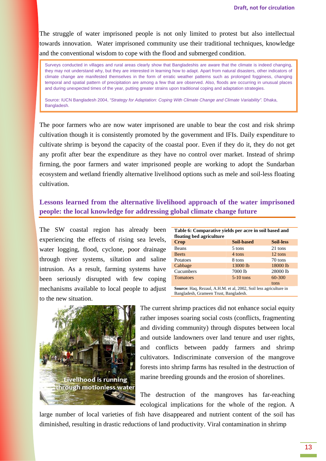The struggle of water imprisoned people is not only limited to protest but also intellectual towards innovation. Water imprisoned community use their traditional techniques, knowledge and the conventional wisdom to cope with the flood and submerged condition.

Surveys conducted in villages and rural areas clearly show that Bangladeshis are aware that the climate is indeed changing, they may not understand why, but they are interested in learning how to adapt. Apart from natural disasters, other indicators of climate change are manifested themselves in the form of erratic weather patterns such as prolonged fogginess, changing temporal and spatial pattern of precipitation are among a few that are observed. Also, floods are occurring in unusual places and during unexpected times of the year, putting greater strains upon traditional coping and adaptation strategies.

Source: IUCN Bangladesh 2004, "Strategy for Adaptation: Coping With Climate Change and Climate Variability". Dhaka, Bangladesh.

The poor farmers who are now water imprisoned are unable to bear the cost and risk shrimp cultivation though it is consistently promoted by the government and IFIs. Daily expenditure to cultivate shrimp is beyond the capacity of the coastal poor. Even if they do it, they do not get any profit after bear the expenditure as they have no control over market. Instead of shrimp firming, the poor farmers and water imprisoned people are working to adopt the Sundarban ecosystem and wetland friendly alternative livelihood options such as mele and soil-less floating cultivation.

## **Lessons learned from the alternative livelihood approach of the water imprisoned people: the local knowledge for addressing global climate change future**

The SW coastal region has already been experiencing the effects of rising sea levels, water logging, flood, cyclone, poor drainage through river systems, siltation and saline intrusion. As a result, farming systems have been seriously disrupted with few coping mechanisms available to local people to adjust to the new situation.

| Table 6: Comparative yields per acre in soil based and<br>floating bed agriculture                          |             |                  |  |
|-------------------------------------------------------------------------------------------------------------|-------------|------------------|--|
| Crop                                                                                                        | Soil-based  | <b>Soil-less</b> |  |
| <b>Beans</b>                                                                                                | 5 tons      | 21 tons          |  |
| <b>Beets</b>                                                                                                | 4 tons      | $12$ tons        |  |
| Potatoes                                                                                                    | 8 tons      | 70 tons          |  |
| Cabbage                                                                                                     | 13000 lb    | 18000 lb         |  |
| Cucumbers                                                                                                   | 7000 lb     | 28000 lb         |  |
| <b>Tomatoes</b>                                                                                             | $5-10$ tons | 60-300           |  |
|                                                                                                             |             | tons             |  |
| Source: Haq, Rezaul, A.H.M. et al, 2002, Soil less agriculture in<br>Bangladesh, Grameen Trust, Bangladesh. |             |                  |  |



The current shrimp practices did not enhance social equity rather imposes soaring social costs (conflicts, fragmenting and dividing community) through disputes between local and outside landowners over land tenure and user rights, and conflicts between paddy farmers and shrimp cultivators. Indiscriminate conversion of the mangrove forests into shrimp farms has resulted in the destruction of marine breeding grounds and the erosion of shorelines.

The destruction of the mangroves has far-reaching ecological implications for the whole of the region. A

large number of local varieties of fish have disappeared and nutrient content of the soil has diminished, resulting in drastic reductions of land productivity. Viral contamination in shrimp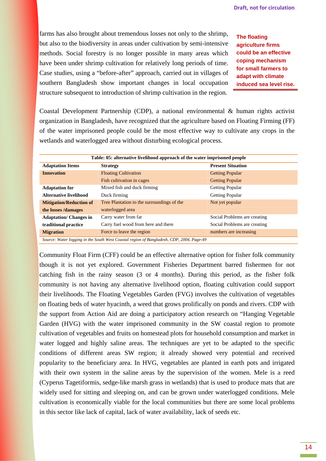farms has also brought about tremendous losses not only to the shrimp, but also to the biodiversity in areas under cultivation by semi-intensive methods. Social forestry is no longer possible in many areas which have been under shrimp cultivation for relatively long periods of time. Case studies, using a "before-after" approach, carried out in villages of southern Bangladesh show important changes in local occupation structure subsequent to introduction of shrimp cultivation in the region.

**The floating agriculture firms could be an effective coping mechanism for small farmers to adapt with climate induced sea level rise.**

Coastal Development Partnership (CDP), a national environmental & human rights activist organization in Bangladesh, have recognized that the agriculture based on Floating Firming (FF) of the water imprisoned people could be the most effective way to cultivate any crops in the wetlands and waterlogged area without disturbing ecological process.

| Table: 05: alternative livelihood approach of the water imprisoned people                |                                            |                              |  |  |
|------------------------------------------------------------------------------------------|--------------------------------------------|------------------------------|--|--|
| <b>Adaptation Items</b>                                                                  | <b>Strategy</b>                            | <b>Present Situation</b>     |  |  |
| <b>Innovation</b>                                                                        | <b>Floating Cultivation</b>                | <b>Getting Popular</b>       |  |  |
|                                                                                          | Fish cultivation in cages                  | <b>Getting Popular</b>       |  |  |
| <b>Adaptation for</b>                                                                    | Mixed fish and duck firming                | <b>Getting Popular</b>       |  |  |
| <b>Alternative livelihood</b>                                                            | Duck firming                               | <b>Getting Popular</b>       |  |  |
| <b>Mitigation/Reduction of</b>                                                           | Tree Plantation to the surroundings of the | Not yet popular              |  |  |
| the losses /damages                                                                      | waterlogged area                           |                              |  |  |
| <b>Adaptation/ Changes in</b>                                                            | Carry water from far                       | Social Problems are creating |  |  |
| traditional practice                                                                     | Carry fuel wood from here and there        | Social Problems are creating |  |  |
| <b>Migration</b>                                                                         | Force to leave the region                  | numbers are increasing       |  |  |
| Source: Water Logging in the South West Coastal region of Bangladesh, CDP, 2004, Page 40 |                                            |                              |  |  |

*Source: Water logging in the South West Coastal region of Bangladesh, CDP, 2004, Page-49* 

Community Float Firm (CFF) could be an effective alternative option for fisher folk community though it is not yet explored. Government Fisheries Department barred fishermen for not catching fish in the rainy season (3 or 4 months). During this period, as the fisher folk community is not having any alternative livelihood option, floating cultivation could support their livelihoods. The Floating Vegetables Garden (FVG) involves the cultivation of vegetables on floating beds of water hyacinth, a weed that grows prolifically on ponds and rivers. CDP with the support from Action Aid are doing a participatory action research on "Hanging Vegetable Garden (HVG) with the water imprisoned community in the SW coastal region to promote cultivation of vegetables and fruits on homestead plots for household consumption and market in water logged and highly saline areas. The techniques are yet to be adapted to the specific conditions of different areas SW region; it already showed very potential and received popularity to the beneficiary area. In HVG, vegetables are planted in earth pots and irrigated with their own system in the saline areas by the supervision of the women. Mele is a reed (Cyperus Tagetiformis, sedge-like marsh grass in wetlands) that is used to produce mats that are widely used for sitting and sleeping on, and can be grown under waterlogged conditions. Mele cultivation is economically viable for the local communities but there are some local problems in this sector like lack of capital, lack of water availability, lack of seeds etc.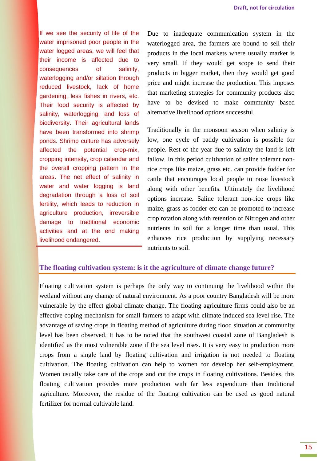If we see the security of life of the water imprisoned poor people in the water logged areas, we will feel that their income is affected due to consequences of salinity, waterlogging and/or siltation through reduced livestock, lack of home gardening, less fishes in rivers, etc. Their food security is affected by salinity, waterlogging, and loss of biodiversity. Their agricultural lands have been transformed into shrimp ponds. Shrimp culture has adversely affected the potential crop-mix, cropping intensity, crop calendar and the overall cropping pattern in the areas. The net effect of salinity in water and water logging is land degradation through a loss of soil fertility, which leads to reduction in agriculture production, irreversible damage to traditional economic activities and at the end making livelihood endangered.

Due to inadequate communication system in the waterlogged area, the farmers are bound to sell their products in the local markets where usually market is very small. If they would get scope to send their products in bigger market, then they would get good price and might increase the production. This imposes that marketing strategies for community products also have to be devised to make community based alternative livelihood options successful.

Traditionally in the monsoon season when salinity is low, one cycle of paddy cultivation is possible for people. Rest of the year due to salinity the land is left fallow. In this period cultivation of saline tolerant nonrice crops like maize, grass etc. can provide fodder for cattle that encourages local people to raise livestock along with other benefits. Ultimately the livelihood options increase. Saline tolerant non-rice crops like maize, grass as fodder etc can be promoted to increase crop rotation along with retention of Nitrogen and other nutrients in soil for a longer time than usual. This enhances rice production by supplying necessary nutrients to soil.

#### **The floating cultivation system: is it the agriculture of climate change future?**

Floating cultivation system is perhaps the only way to continuing the livelihood within the wetland without any change of natural environment. As a poor country Bangladesh will be more vulnerable by the effect global climate change. The floating agriculture firms could also be an effective coping mechanism for small farmers to adapt with climate induced sea level rise. The advantage of saving crops in floating method of agriculture during flood situation at community level has been observed. It has to be noted that the southwest coastal zone of Bangladesh is identified as the most vulnerable zone if the sea level rises. It is very easy to production more crops from a single land by floating cultivation and irrigation is not needed to floating cultivation. The floating cultivation can help to women for develop her self-employment. Women usually take care of the crops and cut the crops in floating cultivations. Besides, this floating cultivation provides more production with far less expenditure than traditional agriculture. Moreover, the residue of the floating cultivation can be used as good natural fertilizer for normal cultivable land.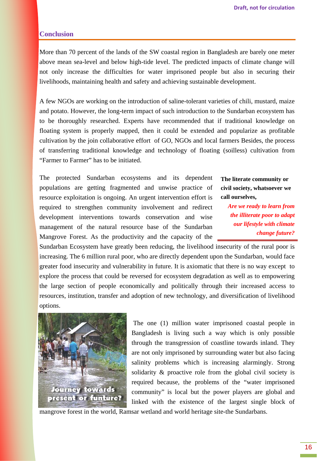#### **Conclusion**

More than 70 percent of the lands of the SW coastal region in Bangladesh are barely one meter above mean sea-level and below high-tide level. The predicted impacts of climate change will not only increase the difficulties for water imprisoned people but also in securing their livelihoods, maintaining health and safety and achieving sustainable development.

A few NGOs are working on the introduction of saline-tolerant varieties of chili, mustard, maize and potato. However, the long-term impact of such introduction to the Sundarban ecosystem has to be thoroughly researched. Experts have recommended that if traditional knowledge on floating system is properly mapped, then it could be extended and popularize as profitable cultivation by the join collaborative effort of GO, NGOs and local farmers Besides, the process of transferring traditional knowledge and technology of floating (soilless) cultivation from "Farmer to Farmer" has to be initiated.

The protected Sundarban ecosystems and its dependent populations are getting fragmented and unwise practice of resource exploitation is ongoing. An urgent intervention effort is required to strengthen community involvement and redirect development interventions towards conservation and wise management of the natural resource base of the Sundarban Mangrove Forest. As the productivity and the capacity of the

**The literate community or civil society, whatsoever we call ourselves,** 

*Are we ready to learn from the illiterate poor to adapt our lifestyle with climate change future?*

Sundarban Ecosystem have greatly been reducing, the livelihood insecurity of the rural poor is increasing. The 6 million rural poor, who are directly dependent upon the Sundarban, would face greater food insecurity and vulnerability in future. It is axiomatic that there is no way except to explore the process that could be reversed for ecosystem degradation as well as to empowering the large section of people economically and politically through their increased access to resources, institution, transfer and adoption of new technology, and diversification of livelihood options.



 The one (1) million water imprisoned coastal people in Bangladesh is living such a way which is only possible through the transgression of coastline towards inland. They are not only imprisoned by surrounding water but also facing salinity problems which is increasing alarmingly. Strong solidarity & proactive role from the global civil society is required because, the problems of the "water imprisoned community" is local but the power players are global and linked with the existence of the largest single block of

mangrove forest in the world, Ramsar wetland and world heritage site-the Sundarbans.